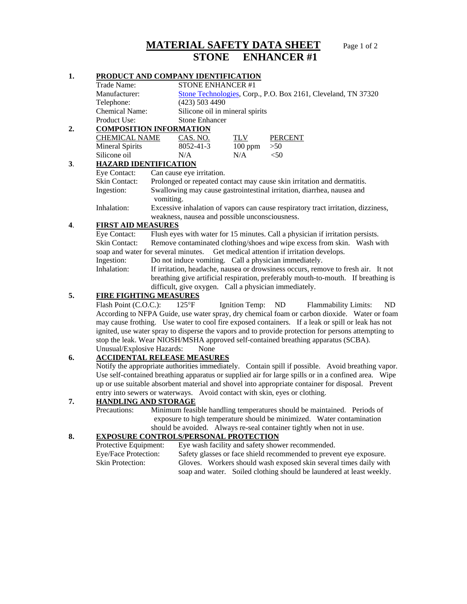# **MATERIAL SAFETY DATA SHEET** Page 1 of 2  **STONE ENHANCER #1**

## **1. PRODUCT AND COMPANY IDENTIFICATION**

|                                      | Trade Name:           | STONE ENHANCER #1               |            |                                                               |  |
|--------------------------------------|-----------------------|---------------------------------|------------|---------------------------------------------------------------|--|
|                                      | Manufacturer:         |                                 |            | Stone Technologies, Corp., P.O. Box 2161, Cleveland, TN 37320 |  |
|                                      | Telephone:            | $(423)$ 503 4490                |            |                                                               |  |
|                                      | <b>Chemical Name:</b> | Silicone oil in mineral spirits |            |                                                               |  |
|                                      | Product Use:          | <b>Stone Enhancer</b>           |            |                                                               |  |
| <b>COMPOSITION INFORMATION</b><br>2. |                       |                                 |            |                                                               |  |
|                                      | <b>CHEMICAL NAME</b>  | CAS. NO.                        | <b>TLV</b> | <b>PERCENT</b>                                                |  |
|                                      | Mineral Spirits       | 8052-41-3                       | $100$ ppm  | >50                                                           |  |

### Silicone oil  $N/A$   $N/A$   $\leq 50$

#### **3. HAZARD IDENTIFICATION**<br>Eye Contact: Can cause eye Can cause eye irritation. Skin Contact: Prolonged or repeated contact may cause skin irritation and dermatitis. Ingestion: Swallowing may cause gastrointestinal irritation, diarrhea, nausea and vomiting. Inhalation: Excessive inhalation of vapors can cause respiratory tract irritation, dizziness,

weakness, nausea and possible unconsciousness.

### **4**. **FIRST AID MEASURES**

Eye Contact: Flush eyes with water for 15 minutes. Call a physician if irritation persists. Skin Contact: Remove contaminated clothing/shoes and wipe excess from skin. Wash with soap and water for several minutes. Get medical attention if irritation develops. Ingestion: Do not induce vomiting. Call a physician immediately. Inhalation: If irritation, headache, nausea or drowsiness occurs, remove to fresh air. It not breathing give artificial respiration, preferably mouth-to-mouth. If breathing is

difficult, give oxygen. Call a physician immediately.

## **5. FIRE FIGHTING MEASURES**

Flash Point (C.O.C.): 125°F Ignition Temp: ND Flammability Limits: ND According to NFPA Guide, use water spray, dry chemical foam or carbon dioxide. Water or foam may cause frothing. Use water to cool fire exposed containers. If a leak or spill or leak has not ignited, use water spray to disperse the vapors and to provide protection for persons attempting to stop the leak. Wear NIOSH/MSHA approved self-contained breathing apparatus (SCBA). Unusual/Explosive Hazards: None

## **6. ACCIDENTAL RELEASE MEASURES**

Notify the appropriate authorities immediately. Contain spill if possible. Avoid breathing vapor. Use self- contained breathing apparatus or supplied air for large spills or in a confined area. Wipe up or use suitable absorbent material and shovel into appropriate container for disposal. Prevent entry into sewers or waterways. Avoid contact with skin, eyes or clothing.

#### **7. HANDLING AND STORAGE**

Precautions: Minimum feasible handling temperatures should be maintained. Periods of exposure to high temperature should be minimized. Water contamination should be avoided. Always re-seal container tightly when not in use.

#### **8. EXPOSURE CONTROLS/PERSONAL PROTECTION**

| Protective Equipment:   | Eye wash facility and safety shower recommended.                     |  |  |
|-------------------------|----------------------------------------------------------------------|--|--|
| Eye/Face Protection:    | Safety glasses or face shield recommended to prevent eye exposure.   |  |  |
| <b>Skin Protection:</b> | Gloves. Workers should wash exposed skin several times daily with    |  |  |
|                         | soap and water. Soiled clothing should be laundered at least weekly. |  |  |